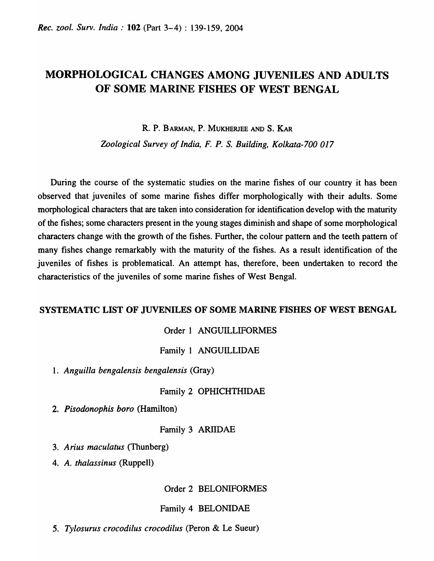# MORPHOLOGICAL CHANGES AMONG JUVENILES AND ADULTS OF SOME MARINE FISHES OF WEST BENGAL

R. P. BARMAN, P. MUKHERJEE AND S. KAR

*Zoological Survey of India, F. P.* S. *Building, Kolkata-700 017* 

During the course of the systematic studies on the marine fishes of our country it has been observed that juveniles of some marine fishes differ morphologically with their adults. Some morphological characters that are taken into consideration for identification develop with the maturity of the fishes; some characters present in the young stages diminish and shape of some morphological characters change with the growth of the fishes. Further, the colour pattern and the teeth pattern of many fishes change remarkably with the maturity of the fishes. As a result identification of the juveniles of fishes is problematical. An attempt has, therefore, been undertaken to record the characteristics of the juveniles of some marine fishes of West Bengal.

#### SYSTEMATIC LIST OF JUVENILES OF SOME MARINE FISHES OF WEST BENGAL

#### Order 1 ANGUILLIFORMES

Family 1 ANGUILLIDAE

1. *Anguilla bengalensis bengalensis* (Gray)

#### Family 2 OPHICHTHIDAE

*2. Pisodonophis boro* (Hamilton)

#### Family 3 ARIIDAE

- *3. Arius maculatus* (Thunberg)
- *4. A. thalassinus* (Ruppell)

Order 2 BELONIFORMES

#### Family 4 BELONIDAE

*5. Tylosurus crocodilus crocodilus* (Peron & Le Sueur)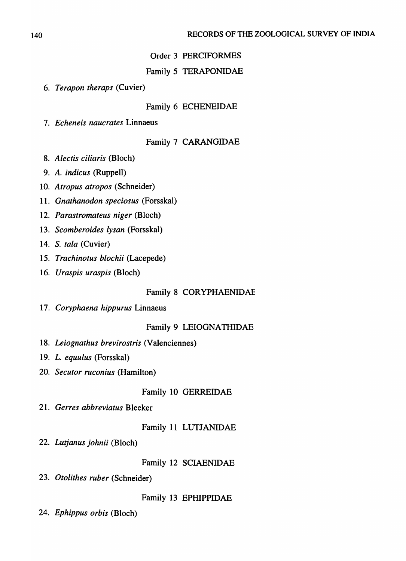# Order 3 PERCIFORMES

# Family 5 TERAPONIDAE

*6. Terapon theraps* (Cuvier)

# Family 6 ECHENEIDAE

*7. Echeneis naucrates* Linnaeus

# Family 7 CARANGIDAE

- *8. Alectis ciliaris* (Bloch)
- *9. A. indicus* (Ruppell)
- *10. Atropus atropos* (Schneider)
- *11. Gnathanodon speciosus* (Forsskal)
- *12. Parastromateus niger* (Bloch)
- *13. Scomberoides lysan* (Forsskal)
- 14. S. *tala* (Cuvier)
- *15. Trachinotus blochii* (Lacepede)
- *16. Uraspis uraspis* (Bloch)

Family 8 CORYPHAENIDAE

*17. Coryphaena hippurus* Linnaeus

Family 9 LEIOGNATHIDAE

- *18. Leiognathus brevirostris* (Valenciennes)
- *19. L. equulus* (Forsskal)
- *20. Secutor ruconius* (Hamilton)

Family 10 GERREIDAE

*21. Gerres abbreviatus* Bleeker

Family 11 LUTJANIDAE

*22. Lutjanus johnii* (Bloch)

Family 12 SCIAENIDAE

*23. Otolithes ruber* (Schneider)

Family 13 EPHIPPIDAE

*24. Ephippus orbis* (Bloch)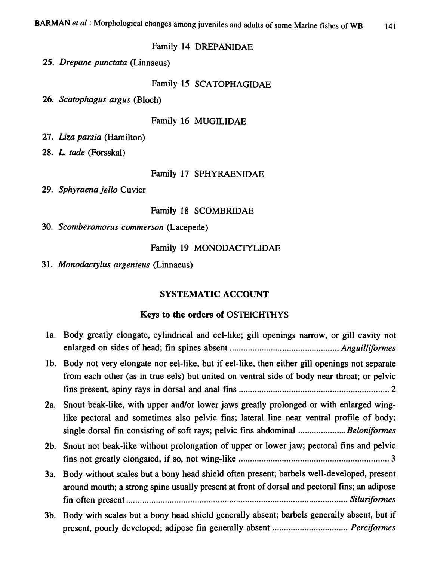# Family 14 DREPANIDAE

*25. Drepane punctata* (Linnaeus)

# Family 15 SCATOPHAGIDAE

26. *Scatophagus argus* (Bloch)

# Family 16 MUGILIDAE

*27. Liza parsia* (Hamilton)

*28. L. tade* (Forsskal)

# Family 17 SPHYRAENIDAE

*29. Sphyraena jello* Cuvier

# Family 18 SCOMBRIDAE

*30. Scomberomorus commerson* (Lacepede)

# Family 19 MONODACTYLIDAE

31. *Monodactylus argenteus* (Linnaeus)

# SYSTEMATIC ACCOUNT

# Keys to the orders of OSTEICHTHYS

|     | 1a. Body greatly elongate, cylindrical and eel-like; gill openings narrow, or gill cavity not                                                                                                                                                                           |
|-----|-------------------------------------------------------------------------------------------------------------------------------------------------------------------------------------------------------------------------------------------------------------------------|
|     | 1b. Body not very elongate nor eel-like, but if eel-like, then either gill openings not separate<br>from each other (as in true eels) but united on ventral side of body near throat; or pelvic                                                                         |
|     | 2a. Snout beak-like, with upper and/or lower jaws greatly prolonged or with enlarged wing-<br>like pectoral and sometimes also pelvic fins; lateral line near ventral profile of body;<br>single dorsal fin consisting of soft rays; pelvic fins abdominal Beloniformes |
|     | 2b. Snout not beak-like without prolongation of upper or lower jaw; pectoral fins and pelvic                                                                                                                                                                            |
| 3a. | Body without scales but a bony head shield often present; barbels well-developed, present<br>around mouth; a strong spine usually present at front of dorsal and pectoral fins; an adipose                                                                              |
| 3b. | Body with scales but a bony head shield generally absent; barbels generally absent, but if                                                                                                                                                                              |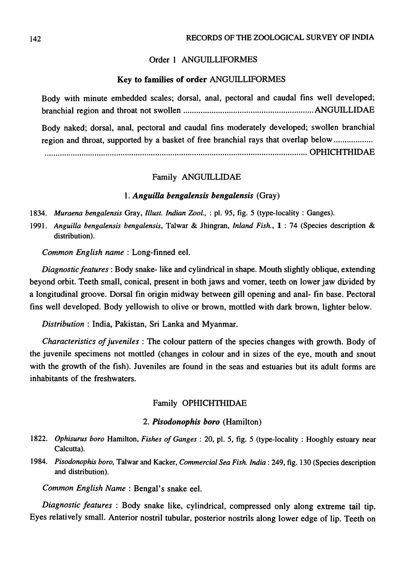# Order 1 ANGUILLIFORMES

### Key to families of order ANGUILLIFORMES

Body with minute embedded scales; dorsal, anal, pectoral and caudal fins well developed; branchial region and throat not swollen ............................................................ ANGUILLIDAE Body naked; dorsal, anal, pectoral and caudal fins moderately developed; swollen branchial region and throat, supported by a basket of free branchial rays that overlap below ..................

......................................................................................................................... OPHICHTHIDAE

### Family ANGUILLIDAE

#### *1. Anguilla bengalensis bengalensis* (Gray)

- *1834. Muraena bengalensis* Gray, *Illust. Indian Zool.,* : pI. 95, fig. 5 (type-locality: Ganges).
- *1991. Anguilla bengalensis bengalensis,* Talwar & Jhingran, *Inland Fish.,* 1 : 74 (Species description & distribution).

*Common English name:* Long-finned eel.

*Diagnostic features:* Body snake- like and cylindrical in shape. Mouth slightly oblique, extending beyond orbit. Teeth small, conical, present in both jaws and vomer, teeth on lower jaw divided by a longitudinal groove. Dorsal fin origin midway between gill opening and anal- fin base. Pectoral fins well developed. Body yellowish to olive or brown, mottled with dark brown, lighter below.

*Distribution* : India, Pakistan, Sri Lanka and Myanmar.

*Characteristics of juveniles* : The colour pattern of the species changes with growth. Body of the juvenile specimens not mottled (changes in colour and in sizes of the eye, mouth and snout with the growth of the fish). Juveniles are found in the seas and estuaries but its adult forms are inhabitants of the freshwaters.

### Family OPHICHTHIDAE

## *2. Pisodonophis boro* (Hamilton)

- *1822. Ophisurus boro* Hamilton, *Fishes of Ganges:* 20, pI. 5, fig. 5 (type-locality: Hooghly estuary near Calcutta).
- *1984. Pisodonophis boro,* Talwar and Kacker, *Commercial Sea Fish. India:* 249, fig. 130 (Species description and distribution).

*Common English Name* : Bengal's snake eel.

*Diagnostic features* : Body snake like, cylindrical, compressed only along extreme tail tip. Eyes relatively small. Anterior nostril tubular, posterior nostrils along lower edge of lip. Teeth on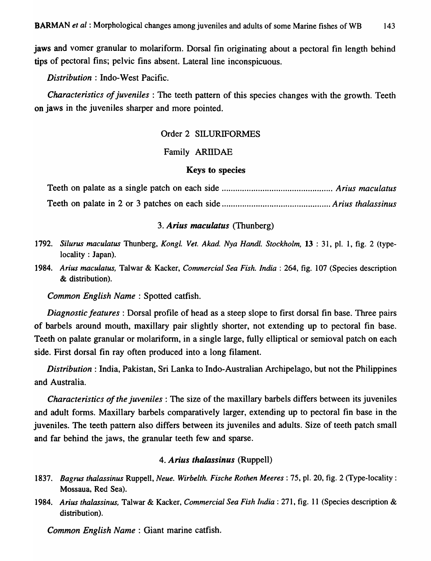jaws and vomer granular to molariform. Dorsal fin originating about a pectoral fin length behind tips of pectoral fins; pelvic fins absent. Lateral line inconspicuous.

*Distribution* : Indo-West Pacific.

*Characteristics of juveniles* : The teeth pattern of this species changes with the growth. Teeth on jaws in the juveniles sharper and more pointed.

### Order 2 SILURIFORMES

## Family ARllDAE

#### Keys to species

Teeth on palate as a single patch on each side ................................................. *Arius maculatus*  Teeth on palate in 2 or 3 patches on each side ................................................ *Arius thalassinus* 

# *3. Arius maculatus* (Thunberg)

- *1792. Silurus maculatus* Thunberg, *Kongl. Vet. Akad. Nya Handl. Stockholm,* 13 : 31, pI. 1, fig. 2 (typelocality : Japan).
- *1984. Arius maculatus,* Talwar & Kacker, *Commercial Sea Fish. India:* 264, fig. 107 (Species description & distribution).

*Common English Name:* Spotted catfish.

*Diagnostic features* : Dorsal profile of head as a steep slope to first dorsal fin base. Three pairs of barbels around mouth, maxillary pair slightly shorter, not extending up to pectoral fin base. Teeth on palate granular or molariform, in a single large, fully elliptical or semioval patch on each side. First dorsal fin ray often produced into a long filament.

*Distribution:* India, Pakistan, Sri Lanka to Indo-Australian Archipelago, but not the Philippines and Australia.

*Characteristics of the juveniles:* The size of the maxillary barbels differs between its juveniles and adult forms. Maxillary barbels comparatively larger, extending up to pectoral fin base in the juveniles. The teeth pattern also differs between its juveniles and adults. Size of teeth patch small and far behind the jaws, the granular teeth few and sparse.

#### *4. Arius thalassinus* (Ruppell)

- *1837. Bagrus thalassinus* Ruppell, *Neue. Wirbelth. Fische Rothen Meeres* : 75, pI. 20, fig. 2 (Type-locality: Mossaua, Red Sea).
- *1984. Arius thalassinus,* Talwar & Kacker, *Commercial Sea Fish India:* 271, fig. 11 (Species description & distribution).

*Common English Name:* Giant marine catfish.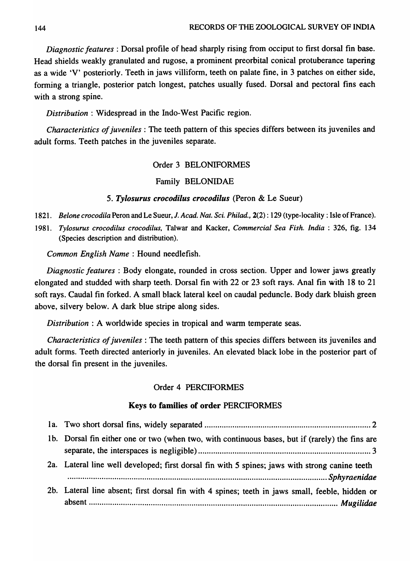144 RECORDS OF THE ZOOLOGICAL SURVEY OF INDIA

*Diagnostic features:* Dorsal profile of head sharply rising from occiput to first dorsal fin base. Head shields weakly granulated and rugose, a prominent preorbital conical protuberance tapering as a wide 'V' posteriorly. Teeth in jaws villiform, teeth on palate fine, in 3 patches on either side, forming a triangle, posterior patch longest, patches usually fused. Dorsal and pectoral fins each with a strong spine.

*Distribution:* Widespread in the Indo-West Pacific region.

*Characteristics of juveniles:* The teeth pattern of this species differs between its juveniles and adult forms. Teeth patches in the juveniles separate.

# Order 3 BELONIFORMES

# Family BELONIDAE

# *5. Tylosurus crocodilus crocodilus* (Peron & Le Sueur)

- *1821. Belonecrocodila* Peron and Le Sueur, 1. *Acad. Nat. Sci. Philad.,* 2(2): 129 (type-locality: Isle of France).
- *1981. Tylosurus crocodilus crocodilus,* Talwar and Kacker, *Commercial Sea Fish. India* : 326, fig. 134 (Species description and distribution).

*Common English Name:* Hound needlefish.

*Diagnostic features* : Body elongate, rounded in cross section. Upper and lower jaws greatly elongated and studded with sharp teeth. Dorsal fin with 22 or 23 soft rays. Anal fin with 18 to 21 soft rays. Caudal fin forked. A small black lateral keel on caudal peduncle. Body dark bluish green above, silvery below. A dark blue stripe along sides.

*Distribution* : A worldwide species in tropical and warm temperate seas.

*Characteristics of juveniles:* The teeth pattern of this species differs between its juveniles and adult forms. Teeth directed anteriorly in juveniles. An elevated black lobe in the posterior part of the dorsal fin present in the juveniles.

# Order 4 PERCIFORMES

# Keys to families of order PERCIFORMES

| 1b. Dorsal fin either one or two (when two, with continuous bases, but if (rarely) the fins are |  |
|-------------------------------------------------------------------------------------------------|--|
| 2a. Lateral line well developed; first dorsal fin with 5 spines; jaws with strong canine teeth  |  |
| 2b. Lateral line absent; first dorsal fin with 4 spines; teeth in jaws small, feeble, hidden or |  |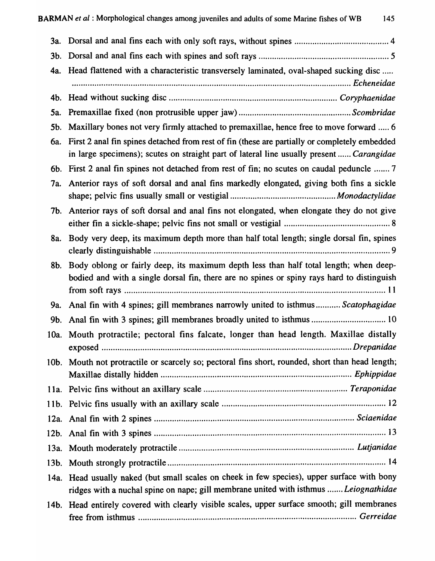| Head flattened with a characteristic transversely laminated, oval-shaped sucking disc                                                                                                     |
|-------------------------------------------------------------------------------------------------------------------------------------------------------------------------------------------|
| 4b.                                                                                                                                                                                       |
|                                                                                                                                                                                           |
| Maxillary bones not very firmly attached to premaxillae, hence free to move forward  6                                                                                                    |
| First 2 anal fin spines detached from rest of fin (these are partially or completely embedded<br>in large specimens); scutes on straight part of lateral line usually present  Carangidae |
| 6b. First 2 anal fin spines not detached from rest of fin; no scutes on caudal peduncle  7                                                                                                |
| Anterior rays of soft dorsal and anal fins markedly elongated, giving both fins a sickle                                                                                                  |
| Anterior rays of soft dorsal and anal fins not elongated, when elongate they do not give<br>7b.                                                                                           |
| Body very deep, its maximum depth more than half total length; single dorsal fin, spines                                                                                                  |
| Body oblong or fairly deep, its maximum depth less than half total length; when deep-<br>bodied and with a single dorsal fin, there are no spines or spiny rays hard to distinguish       |
| Anal fin with 4 spines; gill membranes narrowly united to isthmus Scatophagidae                                                                                                           |
| Anal fin with 3 spines; gill membranes broadly united to isthmus  10                                                                                                                      |
| 10a. Mouth protractile; pectoral fins falcate, longer than head length. Maxillae distally                                                                                                 |
| 10b. Mouth not protractile or scarcely so; pectoral fins short, rounded, short than head length;                                                                                          |
|                                                                                                                                                                                           |
|                                                                                                                                                                                           |
|                                                                                                                                                                                           |
|                                                                                                                                                                                           |
|                                                                                                                                                                                           |
|                                                                                                                                                                                           |
| 14a. Head usually naked (but small scales on cheek in few species), upper surface with bony<br>ridges with a nuchal spine on nape; gill membrane united with isthmus  Leiognathidae       |
| 14b. Head entirely covered with clearly visible scales, upper surface smooth; gill membranes                                                                                              |
|                                                                                                                                                                                           |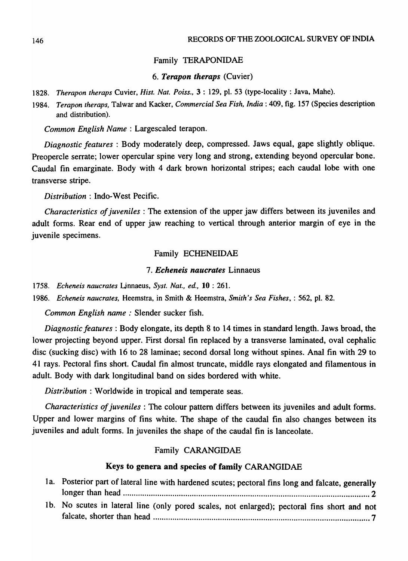# Family TERAPONIDAE

# *6. Terapon theraps* (Cuvier)

*1828. Therapon theraps* Cuvier, *Hist. Nat. Poiss.,* 3 : 129, pI. 53 (type-locality: Java, Mahe).

1984. Terapon theraps, Talwar and Kacker, *Commercial Sea Fish, India*: 409, fig. 157 (Species description and distribution).

*Common English Name:* Largescaled terapon.

*Diagnostic features* : Body moderately deep, compressed. Jaws equal, gape slightly oblique. Preopercle serrate; lower opercular spine very long and strong, extending beyond opercular bone. Caudal fin emarginate. Body with 4 dark brown horizontal stripes; each caudal lobe with one transverse stripe.

*Distribution* : Indo-West Pecific.

*Characteristics of juveniles* : The extension of the upper jaw differs between its juveniles and adult forms. Rear end of upper jaw reaching to vertical through anterior margin of eye in the juvenile specimens.

# Family ECHENEIDAE

## *7. Echeneis naucrates* Linnaeus

*1758. Echeneis naucrates* Ljnnaeus, *Syst. Nat., ed.,* 10 : 261.

*1986. Echeneis naucrates,* Heemstra, in Smith & Heemstra, *Smith's Sea Fishes,* : 562, pI. 82.

*Common English name:* Slender sucker fish.

*Diagnostic features:* Body elongate, its depth 8 to 14 times in standard length. Jaws broad, the lower projecting beyond upper. First dorsal fin replaced by a transverse laminated, oval cephalic disc (sucking disc) with 16 to 28 laminae; second dorsal long without spines. Anal fin with 29 to 41 rays. Pectoral fins short. Caudal fin almost truncate, middle rays elongated and filamentous in adult. Body with dark longitudinal band on sides bordered with white.

*Distribution* : Worldwide in tropical and temperate seas.

*Characteristics of juveniles:* The colour pattern differs between its juveniles and adult forms. Upper and lower margins of fins white. The shape of the caudal fin also changes between its juveniles and adult forms. In juveniles the shape of the caudal fin is lanceolate.

## Family CARANGIDAE

# Keys to genera and species of family CARANGIDAE

| 1a. Posterior part of lateral line with hardened scutes; pectoral fins long and falcate, generally |
|----------------------------------------------------------------------------------------------------|
|                                                                                                    |
| 1b. No scutes in lateral line (only pored scales, not enlarged); pectoral fins short and not       |
|                                                                                                    |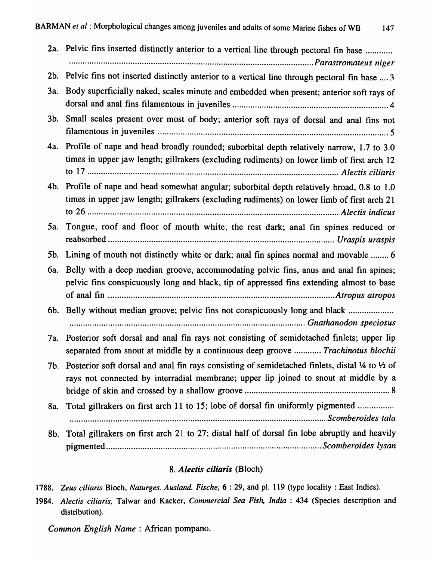| 2a.        | Pelvic fins inserted distinctly anterior to a vertical line through pectoral fin base                                                                                                    |
|------------|------------------------------------------------------------------------------------------------------------------------------------------------------------------------------------------|
|            |                                                                                                                                                                                          |
| $2b$ .     | Pelvic fins not inserted distinctly anterior to a vertical line through pectoral fin base  3                                                                                             |
| <b>3a.</b> | Body superficially naked, scales minute and embedded when present; anterior soft rays of                                                                                                 |
| $3b$ .     | Small scales present over most of body; anterior soft rays of dorsal and anal fins not                                                                                                   |
| 4a.        | Profile of nape and head broadly rounded; suborbital depth relatively narrow, 1.7 to 3.0<br>times in upper jaw length; gillrakers (excluding rudiments) on lower limb of first arch 12   |
| 4b.        | Profile of nape and head somewhat angular; suborbital depth relatively broad, 0.8 to 1.0<br>times in upper jaw length; gillrakers (excluding rudiments) on lower limb of first arch 21   |
| 5a.        | Tongue, roof and floor of mouth white, the rest dark; anal fin spines reduced or                                                                                                         |
| 5b.        | Lining of mouth not distinctly white or dark; anal fin spines normal and movable  6                                                                                                      |
| 6a.        | Belly with a deep median groove, accommodating pelvic fins, anus and anal fin spines;<br>pelvic fins conspicuously long and black, tip of appressed fins extending almost to base        |
|            | 6b. Belly without median groove; pelvic fins not conspicuously long and black                                                                                                            |
| 7a.        | Posterior soft dorsal and anal fin rays not consisting of semidetached finlets; upper lip<br>separated from snout at middle by a continuous deep groove  Trachinotus blochii             |
| 7b.        | Posterior soft dorsal and anal fin rays consisting of semidetached finlets, distal 1/4 to 1/2 of<br>rays not connected by interradial membrane; upper lip joined to snout at middle by a |
| 8a.        | Total gillrakers on first arch 11 to 15; lobe of dorsal fin uniformly pigmented                                                                                                          |
| 8b.        | Total gillrakers on first arch 21 to 27; distal half of dorsal fin lobe abruptly and heavily                                                                                             |

# S. *Alectis ciliaris* (Bloch)

*1788. Zeus ciliaris* Bloch, *Naturges. Ausland. Fische,* 6 : 29, and pI. 119 (type locality: East Indies).

*1984. Alectis ciliaris,* Talwar and Kacker, *Commercial Sea Fish, India* : 434 (Species description and distribution).

*Common English Name:* African pompano.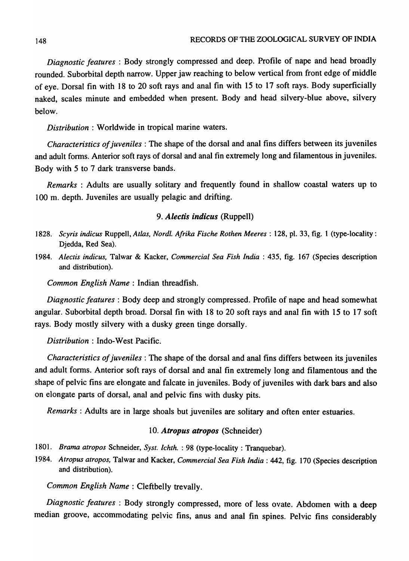*Diagnostic features* : Body strongly compressed and deep. Profile of nape and head broadly rounded. Suborbital depth narrow. Upper jaw reaching to below vertical from front edge of middle of eye. Dorsal fin with 18 to 20 soft rays and anal fin with 15 to 17 soft rays. Body superficially naked, scales minute and embedded when present. Body and head silvery-blue above, silvery below.

*Distribution* : Worldwide in tropical marine waters.

*Characteristics of juveniles:* The shape of the dorsal and anal fins differs between its juveniles and adult forms. Anterior soft rays of dorsal and anal fin extremely long and filamentous in juveniles. Body with 5 to 7 dark transverse bands.

*Remarks* : Adults are usually solitary and frequently found in shallow coastal waters up to 100 m. depth. Juveniles are usually pelagic and drifting.

## *9. Alectis indicus* (Ruppell)

- *1828. Scyris indicus* Ruppell, *Atlas, Nordl. Afrika Fische Rothen Meeres* : 128, pI. 33, fig. 1 (type-locality: Djedda, Red Sea).
- *1984. Alectis indicus,* Talwar & Kacker, *Commercial Sea Fish India* : 435, fig. 167 (Species description and distribution).

*Common English Name* : Indian threadfish.

*Diagnostic features:* Body deep and strongly compressed. Profile of nape and head somewhat angular. Suborbital depth broad. Dorsal fin with 18 to 20 soft rays and anal fin with 15 to 17 soft rays. Body mostly silvery with a dusky green tinge dorsally.

*Distribution* : Indo-West Pacific.

*Characteristics of juveniles:* The shape of the dorsal and anal fins differs between its juveniles and adult forms. Anterior soft rays of dorsal and anal fin extremely long and filamentous and the shape of pelvic fins are elongate and falcate in juveniles. Body of juveniles with dark bars and also on elongate parts of dorsal, anal and pelvic fins with dusky pits.

*Remarks:* Adults are in large shoals but juveniles are solitary and often enter estuaries.

# *10. Atropus atropos* (Schneider)

- *1801. Brama atropos* Schneider, *Syst. Ichth.* : 98 (type-locality: Tranquebar).
- *1984. Atropus atropos,* Talwar and Kacker, *Commercial Sea Fish India:* 442, fig. 170 (Species description and distribution).

*Common English Name:* Cleftbelly trevally.

*Diagnostic features* : Body strongly compressed, more of less ovate. Abdomen with a deep median groove, accommodating pelvic fins, anus and anal fin spines. Pelvic fins considerably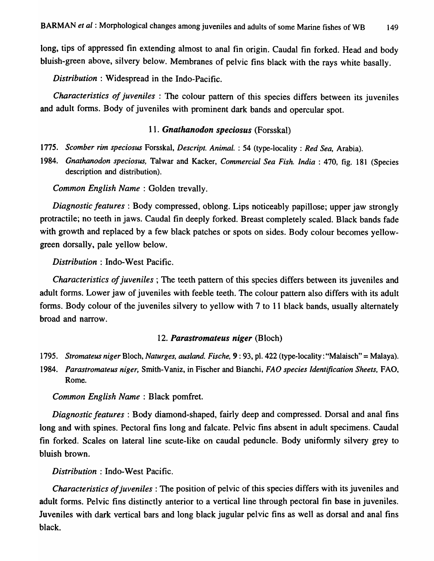long, tips of appressed fin extending almost to anal fin origin. Caudal fin forked. Head and body bluish-green above, silvery below. Membranes of pelvic fins black with the rays white basally.

*Distribution* : Widespread in the Indo-Pacific.

*Characteristics of juveniles* : The colour pattern of this species differs between its juveniles and adult forms. Body of juveniles with prominent dark bands and opercular spot.

## *11. Gnathanodon speciosus* (Forsskal)

*1775. Scomber rim speciosus* Forsskal, *Descript. Animal.* : 54 (type-locality: *Red Sea,* Arabia).

*1984. Gnathanodon speciosus,* Talwar and Kacker, *Commercial Sea Fish. India:* 470, fig. 181 (Species description and distribution).

*Common English Name:* Golden trevally.

*Diagnostic features:* Body compressed, oblong. Lips noticeably papillose; upper jaw strongly protractile; no teeth in jaws. Caudal fin deeply forked. Breast completely scaled. Black bands fade with growth and replaced by a few black patches or spots on sides. Body colour becomes yellowgreen dorsally, pale yellow below.

*Distribution* : Indo-West Pacific.

*Characteristics of juveniles;* The teeth pattern of this species differs between its juveniles and adult forms. Lower jaw of juveniles with feeble teeth. The colour pattern also differs with its adult forms. Body colour of the juveniles silvery to yellow with 7 to 11 black bands, usually alternately broad and narrow.

#### *12. Parastromateus niger* (Bloch)

- *1795. Stromateus niger* Bloch, *Naturges, ausland. Fische,* 9: 93, pI. 422 (type-locality: "Malaisch" = Malaya).
- *1984. Parastromateus niger,* Smith-Vaniz, in Fischer and Bianchi, *FAD species Identification Sheets,* FAD, Rome.

*Common English Name* : Black pomfret.

*Diagnostic features* : Body diamond-shaped, fairly deep and compressed. Dorsal and anal fins long and with spines. Pectoral fins long and falcate. Pelvic fins absent in adult specimens. Caudal fin forked. Scales on lateral line scute-like on caudal peduncle. Body uniformly silvery grey to bluish brown.

*Distribution* : Indo-West Pacific.

*Characteristics of juveniles:* The position of pelvic of this species differs with its juveniles and adult forms. Pelvic fins distinctly anterior to a vertical line through pectoral fin base in juveniles. Juveniles with dark vertical bars and long black jugular pelvic fins as well as dorsal and anal fins black.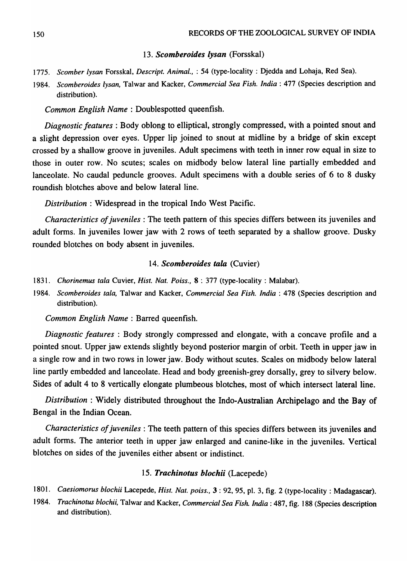#### *13. Scomberoides lysan* (Forsskal)

- *1775. Scomber lysan* Forsskal, *Descript. Animal.,* : 54 (type-locality: Djedda and Lohaja, Red Sea).
- *1984. Scomberoides lysan,* Talwar and Kacker, *Commercial Sea Fish. India:* 477 (Species description and distribution).

*Common English Name:* Doublespotted queenfish.

*Diagnostic features:* Body oblong to elliptical, strongly compressed, with a pointed snout and a slight depression over eyes. Upper lip joined to snout at midline by a bridge of skin except crossed by a shallow groove in juveniles. Adult specimens with teeth in inner row equal in size to those in outer row. No scutes; scales on midbody below lateral line partially embedded and lanceolate. No caudal peduncle grooves. Adult specimens with a double series of 6 to 8 dusky roundish blotches above and below lateral line.

*Distribution* : Widespread in the tropical Indo West Pacific.

*Characteristics of juveniles:* The teeth pattern of this species differs between its juveniles and adult forms. In juveniles lower jaw with 2 rows of teeth separated by a shallow groove. Dusky rounded blotches on body absent in juveniles.

#### 14. Scomberoides tala *(Cuvier)*

- *1831. Chorinemus tala* Cuvier, *Hist. Nat. Poiss.,* 8 : 377 (type-locality: Malabar).
- *1984. Scomberoides tala,* Talwar and Kacker, *Commercial Sea Fish. India:* 478 (Species description and distribution).

*Common English Name:* Barred queenfish.

*Diagnostic features* : Body strongly compressed and elongate, with a concave profile and a pointed snout. Upper jaw extends slightly beyond posterior margin of orbit. Teeth in upper jaw in a single row and in two rows in lower jaw. Body without scutes. Scales on midbody below lateral line partly embedded and lanceolate. Head and body greenish-grey dorsally, grey to silvery below. Sides of adult 4 to 8 vertically elongate plumbeous blotches, most of which intersect lateral line.

*Distribution:* Widely distributed throughout the Indo-Australian Archipelago and the Bay of Bengal in the Indian Ocean.

*Characteristics of juveniles:* The teeth pattern of this species differs between its juveniles and adult forms. The anterior teeth in upper jaw enlarged and canine-like in the juveniles. Vertical blotches on sides of the juveniles either absent or indistinct.

#### *15. Trachinotus blochii* (Lacepede)

- *1801. Caesiomorus blochii* Lacepede, *Hist. Nat. poiss.,* 3 : 92, 95, pI. 3, fig. 2 (type-locality: Madagascar).
- 1984. Trachinotus blochii, Talwar and Kacker, *Commercial Sea Fish. India* : 487, fig. 188 (Species description and distribution).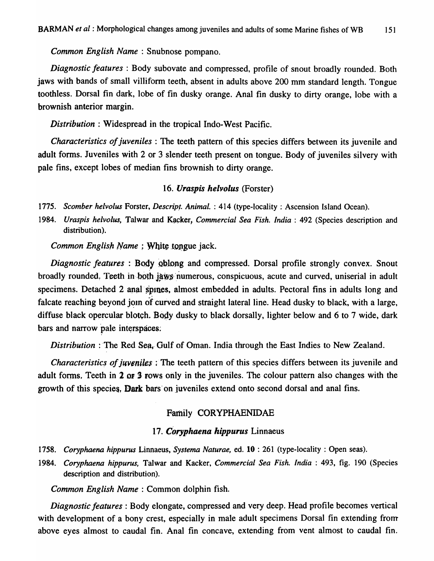*Common English Name* : Snubnose pompano.

*Diagnostic features* : Body subovate and compressed, profile of snout broadly rounded. Both jaws with bands of small villiform teeth, absent in adults above 200 mm standard length. Tongue toothless. Dorsal fin dark, lobe of fin dusky orange. Anal fin dusky to dirty orange, lobe with a brownish anterior margin.

*Distribution* : Widespread in the tropical Indo-West Pacific.

*Characteristics of juveniles* : The teeth pattern of this species differs between its juvenile and adult forms. Juveniles with 2 or 3 slender teeth present on tongue. Body of juveniles silvery with pale fins, except lobes of median fins brownish to dirty orange.

#### *16. Uraspis helvolus* (Forster)

1775. Scomber helvolus Forster, *Descript. Animal.* : 414 (type-locality: Ascension Island Ocean).

*1984. Uraspis helvolus,* Talwar and Kacker, *Commercial Sea Fish. India* : 492 (Species description and distribution).

*Common English Name* ; White tongue jack.

*Diagnostic features* : Body Qblong and compressed. Dorsal profile strongly convex. Snout broadly rounded. Teeth in both jaws numerous, conspicuous, acute and curved, uniserial in adult specimens. Detached 2 anal spines, almost embedded in adults. Pectoral fins in adults long and falcate reaching beyond join of curved and straight lateral line. Head dusky to black, with a large, diffuse black opercular blotch. Body dusky to black dorsally, lighter below and 6 to 7 wide, dark bars and narrow pale interspaces.

*Distribution* : The Red Sea, Gulf of Oman. India through the East Indies to New Zealand.

*Characteristics of juveniles* : The teeth pattern of this species differs between its juvenile and adult forms, Teeth in 2 or 3 rows only in the juveniles. The colour pattern also changes with the growth of this species, Dark bars on juveniles extend onto second dorsal and anal fins.

### Family CORYPHAENIDAE

#### 17. Coryphaena hippurus Linnaeus

- 1758. Coryphaena hippurus Linnaeus, Systema *Naturae*, ed. 10: 261 (type-locality: Open seas).
- *1984. Coryphaena hippurus,* Talwar and Kacker, *Commercial Sea Fish. India* : 493, fig. 190 (Species description and distribution).

*Common English Name* : Common dolphin fish.

*Diagnostic features:* Body elongate, compressed and very deep. Head profile becomes vertical with development of a bony crest, especially in male adult specimens Dorsal fin extending from above eyes almost to caudal fin. Anal fin concave, extending from vent almost to caudal fin.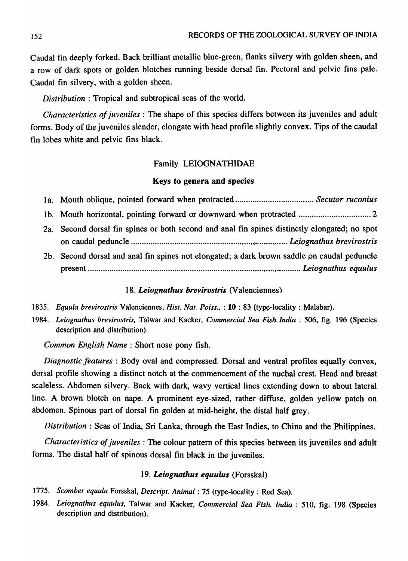Caudal fin deeply forked. Back brilliant metallic blue-green, flanks silvery with golden sheen, and a row of dark spots or golden blotches running beside dorsal fin. Pectoral and pelvic fins pale. Caudal fin silvery, with a golden sheen.

*Distribution:* Tropical and subtropical seas of the world.

*Characteristics of juveniles:* The shape of this species differs between its juveniles and adult forms. Body of the juveniles slender, elongate with head profile slightly convex. Tips of the caudal fin lobes white and pelvic fins black.

#### Family LEIOGNATHIDAE

#### Keys to genera and species

| 2a. Second dorsal fin spines or both second and anal fin spines distinctly elongated; no spot |
|-----------------------------------------------------------------------------------------------|
|                                                                                               |
| 2b. Second dorsal and anal fin spines not elongated; a dark brown saddle on caudal peduncle   |
|                                                                                               |

#### 18. Leiognathus brevirostris (Valenciennes)

- 1835. Equula brevirostris Valenciennes, *Hist. Nat. Poiss.*, : 10 : 83 (type-locality : Malabar).
- 1984. Leiognathus brevirostris, Talwar and Kacker, *Commercial Sea Fish India* : 506, fig. 196 (Species description and distribution).

*Common English Name:* Short nose pony fish.

*Diagnostic features* : Body oval and compressed. Dorsal and ventral profiles equally convex, dorsal profile showing a distinct notch at the commencement of the nuchal crest. Head and breast scaleless. Abdomen silvery. Back with dark, wavy vertical lines extending down to about lateral line. A brown blotch on nape. A prominent eye-sized, rather diffuse, golden yellow patch on abdomen. Spinous part of dorsal fin golden at mid-height, the distal half grey.

*Distribution* : Seas of India, Sri Lanka, through the East Indies, to China and the Philippines.

*Characteristics of juveniles:* The colour pattern of this species between its juveniles and adult forms. The distal half of spinous dorsal fin black in the juveniles.

#### *19. Leiognathus equulus* (Forsskal)

- 1775. Scomber equula Forsskal, Descript. Animal: 75 (type-locality: Red Sea).
- *1984. Leiognathus equulus,* Ta1war and Kacker, *Commercial Sea Fish. India:* 510, fig. 198 (Species description and distribution).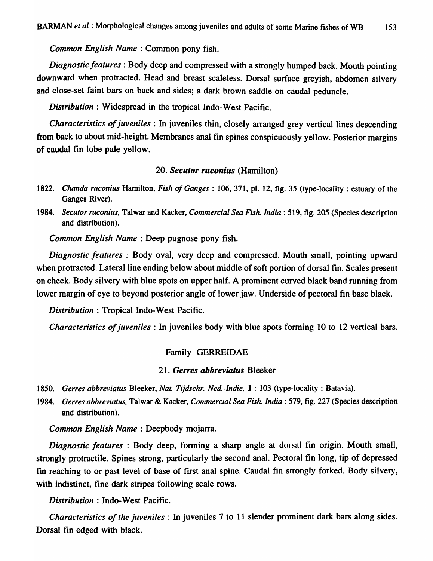*Common English Name* : Common pony fish.

*Diagnostic features* : Body deep and compressed with a strongly humped back. Mouth pointing downward when protracted. Head and breast scaleless. Dorsal surface greyish, abdomen silvery and close-set faint bars on back and sides; a dark brown saddle on caudal peduncle.

*Distribution* : Widespread in the tropical Indo-West Pacific.

*Characteristics of juveniles:* In juveniles thin, closely arranged grey vertical lines descending from back to about mid-height. Membranes anal fin spines conspicuously yellow. Posterior margins of caudal fin lobe pale yellow.

#### *20. Secutor ruconius* (Hamilton)

- *1822. Chanda ruconius* Hamilton, *Fish of Ganges* : 106, 371, pI. 12, fig. 35 (type-locality : estuary of the Ganges River).
- *1984. Secutor ruconius,* Talwar and Kacker, *Commercial Sea Fish. India:* 519, fig. 205 (Species description and distribution).

*Common English Name* : Deep pugnose pony fish.

*Diagnostic features* : Body oval, very deep and compressed. Mouth small, pointing upward when protracted. Lateral line ending below about middle of soft portion of dorsal fin. Scales present on cheek. Body silvery with blue spots on upper half. A prominent curved black band running from lower margin of eye to beyond posterior angle of lower jaw. Underside of pectoral fin base black.

*Distribution* : Tropical Indo-West Pacific.

*Characteristics of juveniles:* In juveniles body with blue spots forming 10 to 12 vertical bars.

# Family GERREIDAE

#### 21. Gerres abbreviatus Bleeker

*1850. Gerres abbreviatus* Bleeker, *Nat. Tijdschr. Ned.-Indie,* 1 : 103 (type-locality: Batavia).

1984. *Gerres abbreviatus*, Talwar & Kacker, *Commercial Sea Fish. India*: 579, fig. 227 (Species description and distribution).

*Common English Name* : Deepbody mojarra.

*Diagnostic features:* Body deep, forming a sharp angle at dorsal fin origin. Mouth small, strongly protractile. Spines strong, particularly the second anal. Pectoral fin long, tip of depressed fin reaching to or past level of base of first anal spine. Caudal fin strongly forked. Body silvery, with indistinct, fine dark stripes following scale rows.

*Distribution* : Indo-West Pacific.

*Characteristics of the juveniles* : In juveniles 7 to 11 slender prominent dark bars along sides. Dorsal fin edged with black.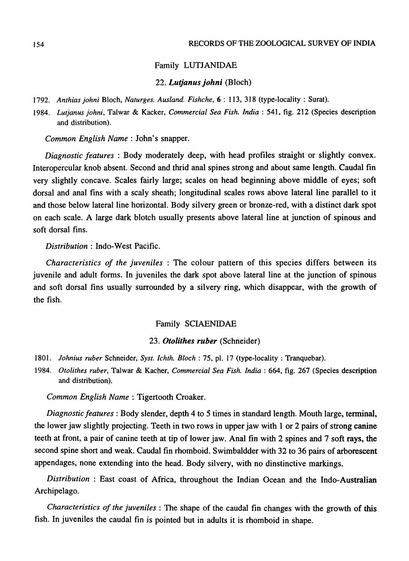#### Family LUTJANIDAE

#### *22. Lutjanus johni* (Bloch)

*1792. Anthias johni* Bloch, *Naturges. Ausland. Fishche,* 6 : 113, 318 (type-locality: Surat).

*1984. Lutjanus johni,* Talwar & Kacker, *Commercial Sea Fish. India:* 541, fig. 212 (Species description and distribution).

*Common English Name:* John's snapper.

*Diagnostic features* : Body moderately deep, with head profiles straight or slightly convex. Interopercular knob absent. Second and thrid anal spines strong and about same length. Caudal fin very slightly concave. Scales fairly large; scales on head beginning above middle of eyes; soft dorsal and anal fins with a scaly sheath; longitudinal scales rows above lateral line parallel to it and those below lateral line horizontal. Body silvery green or bronze-red, with a distinct dark spot on each scale. A large dark blotch usually presents above lateral line at junction of spinous and soft dorsal fins.

*Distribution* : Indo-West Pacific.

*Characteristics of the juveniles* : The colour pattern of this species differs between its juvenile and adult forms. In juveniles the dark spot above lateral line at the junction of spinous and soft dorsal fins usually surrounded by a silvery ring, which disappear, with the growth of the fish.

#### Family SCIAENIDAE

#### *23. Otolithes ruber* (Schneider)

- *1801. lohnius ruber* Schneider, *Syst. Ichth. Bloch:* 75, pI. 17 (type-locality: Tranquebar).
- *1984. Otolithes ruber,* Talwar & Kacher, *Commercial Sea Fish. India:* 664, fig. 267 (Species description and distribution).

*Common English Name:* Tigertooth Croaker.

*Diagnostic features*: Body slender, depth 4 to 5 times in standard length. Mouth large, terminal, the lower jaw slightly projecting. Teeth in two rows in upper jaw with 1 or 2 pairs of strong canine teeth at front, a pair of canine teeth at tip of lower jaw. Anal fin with 2 spines and 7 soft rays, the second spine short and weak. Caudal fin rhomboid. Swimbaldder with 32 to 36 pairs of arborescent appendages, none extending into the head. Body silvery, with no dinstinctive markings.

*Distribution* : East coast of Africa, throughout the Indian Ocean and the Indo-Australian Archipelago.

*Characteristics of the juveniles:* The shape of the caudal fin changes with the growth of this fish. In juveniles the caudal fin is pointed but in adults it is rhomboid in shape.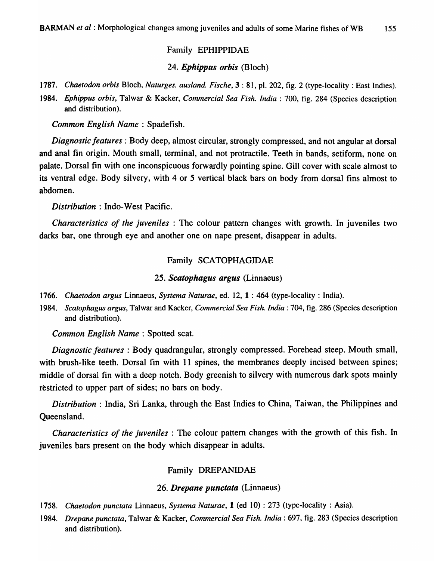# Family EPHIPPIDAE

# *24. Ephippus orbis* (Bloch)

*1787. Chaetodon orbis* Bloch, *Naturges. ausland. Fische,* 3 : 81, pI. 202, fig. 2 (type-locality: East Indies).

*1984. Ephippus orbis,* Talwar & Kacker, *Commercial Sea Fish. India:* 700, fig. 284 (Species description and distribution).

*Common English Name:* Spadefish.

*Diagnostic features:* Body deep, almost circular, strongly compressed, and not angular at dorsal and anal fin origin. Mouth small, terminal, and not protractile. Teeth in bands, setiform, none on palate. Dorsal fin with one inconspicuous forwardly pointing spine. Gill cover with scale almost to its ventral edge. Body silvery, with 4 or 5 vertical black bars on body from dorsal fins almost to abdomen.

*Distribution* : Indo-West Pacific.

*Characteristics of the juveniles* : The colour pattern changes with growth. In juveniles two darks bar, one through eye and another one on nape present, disappear in adults.

# Family SCATOPHAGIDAE

# *25. Scatophagus argus* (Linnaeus)

*1766. Chaetodon argus* Linnaeus, *Systema Naturae,* ed. 12, 1 : 464 (type-locality: India).

*1984. Scatophagus argus,* Talwar and Kacker, *Commercial Sea Fish. India:* 704, fig. 286 (Species description and distribution).

*Common English Name* : Spotted scat.

*Diagnostic features* : Body quadrangular, strongly compressed. Forehead steep. Mouth small, with brush-like teeth. Dorsal fin with 11 spines, the membranes deeply incised between spines; middle of dorsal fin with a deep notch. Body greenish to silvery with numerous dark spots mainly restricted to upper part of sides; no bars on body.

*Distribution:* India, Sri Lanka, through the East Indies to China, Taiwan, the Philippines and Queensland.

*Characteristics of the juveniles:* The colour pattern changes with the growth of this fish. In juveniles bars present on the body which disappear in adults.

# Family DREPANIDAE

# *26. Drepane punctata* (Linnaeus)

- *1758. Chaetodon punctata* Linnaeus, *Systema Naturae,* 1 (ed 10) : 273 (type-locality: Asia).
- *1984. Drepane punctata,* Talwar & Kacker, *Commercial Sea Fish. India:* 697, fig. 283 (Species description and distribution).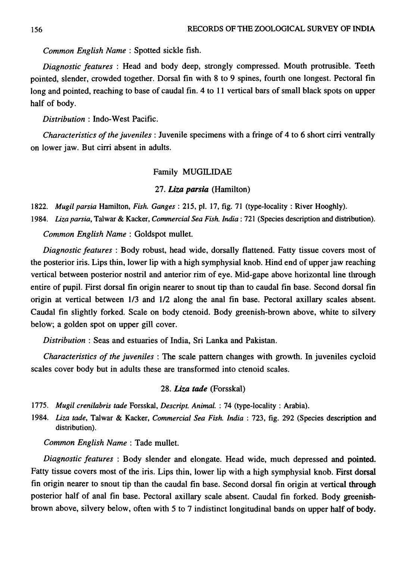*Common English Name* : Spotted sickle fish.

*Diagnostic features* : Head and body deep, strongly compressed. Mouth protrusible. Teeth pointed, slender, crowded together. Dorsal fin with 8 to 9 spines, fourth one longest. Pectoral fin long and pointed, reaching to base of caudal fin. 4 to 11 vertical bars of small black spots on upper half of body.

*Distribution:* Indo-West Pacific.

*Characteristics of the juveniles:* Juvenile specimens with a fringe of 4 to 6 short cirri ventrally on lower jaw. But cirri absent in adults.

## Family MUGILIDAE

## *27. Liza parsia* (Hamilton)

1822. *Mugil parsia* Hamilton, *Fish. Ganges:* 215, pI. 17, fig. 71 (type-locality: River Hooghly).

1984. *Liza parsia,* Talwar & Kacker, *Commercial Sea Fish. India:* 721 (Species description and distribution).

*Common English Name* : Goldspot mullet.

*Diagnostic features* : Body robust, head wide, dorsally flattened. Fatty tissue covers most of the posterior iris. Lips thin, lower lip with a high symphysial knob. Hind end of upper jaw reaching vertical between posterior nostril and anterior rim of eye. Mid-gape above horizontal line through entire of pupil. First dorsal fin origin nearer to snout tip than to caudal fin base. Second dorsal fin origin at vertical between 1/3 and 1/2 along the anal fin base. Pectoral axillary scales absent. Caudal fin slightly forked. Scale on body ctenoid. Body greenish-brown above, white to silvery below; a golden spot on upper gill cover.

*Distribution:* Seas and estuaries of India, Sri Lanka and Pakistan.

*Characteristics of the juveniles* : The scale pattern changes with growth. In juveniles cycloid scales cover body but in adults these are transformed into ctenoid scales.

## *28. Liza tade* (Forsskal)

*1775. Mugil crenilabris tade* Forsskal, *Descript. Animal.* : 74 (type-locality: Arabia).

1984. *Liza tade,* Talwar & Kacker, *Commercial Sea Fish. India* : 723, fig. 292 (Species description and distribution).

*Common English Name:* Tade mullet.

*Diagnostic features:* Body slender and elongate. Head wide, much depressed and pointed. Fatty tissue covers most of the iris. Lips thin, lower lip with a high symphysial knob. First dorsal fin origin nearer to snout tip than the caudal fin base. Second dorsal fin origin at vertical through posterior half of anal fin base. Pectoral axillary scale absent. Caudal fin forked. Body greenishbrown above, silvery below, often with 5 to 7 indistinct longitudinal bands on upper half of body.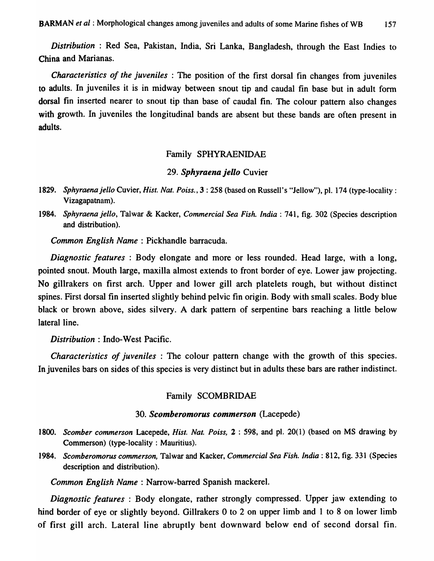*Distribution:* Red Sea, Pakistan, India, Sri Lanka, Bangladesh, through the East Indies to China and Marianas.

*Characteristics of the juveniles* : The position of the first dorsal fin changes from juveniles to adults. In juveniles it is in midway between snout tip and caudal fin base but in adult form dorsal fin inserted nearer to snout tip than base of caudal fin. The colour pattern also changes with growth. In juveniles the longitudinal bands are absent but these bands are often present in adults.

#### Family SPHYRAENIDAE

#### *29. Sphyraenajello* Cuvier

- 1829. Sphyraena jello Cuvier, *Hist. Nat. Poiss.*, 3: 258 (based on Russell's "Jellow"), pl. 174 (type-locality: Vizagapatnam).
- *1984. Sphyraena jello,* Talwar & Kacker, *Commercial Sea Fish. India:* 741, fig. 302 (Species description and distribution).

*Common English Name* : Pickhandle barracuda.

*Diagnostic features* : Body elongate and more or less rounded. Head large, with a long, pointed snout. Mouth large, maxilla almost extends to front border of eye. Lower jaw projecting. No gillrakers on first arch. Upper and lower gill arch platelets rough, but without distinct spines. First dorsal fin inserted slightly behind pelvic fin origin. Body with small scales. Body blue black or brown above, sides silvery. A dark pattern of serpentine bars reaching a little below lateral line.

*Distribution* : Indo-West Pacific.

*Characteristics of juveniles* : The colour pattern change with the growth of this species. In juveniles bars on sides of *this* species is very distinct but in adults these bars are rather indistinct.

## Family SCOMBRIDAE

### *30. Scomberomorus commerson* (Lacepede)

- *1800. Scomber commerson* Lacepede, *Hist. Nat. Poiss,* 2 : 598, and pI. 20( 1) (based on MS drawing by Commerson) (type-locality: Mauritius).
- *1984. Scomberomorus commerson,* Talwar and Kacker, *Commercial Sea Fish. India:* 812, fig. 331 (Species description and distribution).

*Common English Name:* Narrow-barred Spanish mackerel.

*Diagnostic features* : Body elongate, rather strongly compressed. Upper jaw extending to hind border of eye or slightly beyond. Gillrakers 0 to 2 on upper limb and 1 to 8 on lower limb of first gill arch. Lateral line abruptly bent downward below end of second dorsal fin.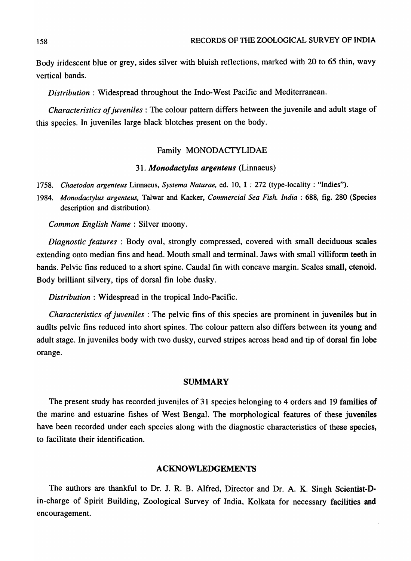Body iridescent blue or grey, sides silver with bluish reflections, marked with 20 to 65 thin, wavy vertical bands.

*Distribution:* Widespread throughout the Indo-West Pacific and Mediterranean.

*Characteristics of juveniles:* The colour pattern differs between the juvenile and adult stage of this species. In juveniles large black blotches present on the body.

### Family MONODACTYLIDAE

#### *31. Monodactylus argenteus* (Linnaeus)

- *1758. Chaetodon argenteus* Linnaeus, *Systema Naturae,* ed. 10, 1 ; 272 (type-locality: "Indies").
- *1984. ,Monodactylus argenteus,* Talwar and Kacker, *Commercial Sea Fish. India:* 688, fig. 280 (Species description and distribution).

*Common English Name:* Silver moony.

*Diagnostic features:* Body oval, strongly compressed, covered with small deciduous scales extending onto median fins and head. Mouth small and terminal. Jaws with small villiform teeth in bands. Pelvic fins reduced to a short spine. Caudal fin with concave margin. Scales small, ctenoid. Body brilliant silvery, tips of dorsal fin lobe dusky.

*Distribution:* Widespread in the tropical Indo-Pacific.

*Characteristics of juveniles:* The pelvic fins of this species are prominent in juveniles but in audIts pelvic fins reduced into short spines. The colour pattern also differs between its young and adult stage. In juveniles body with two dusky, curved stripes across head and tip of dorsal fin lobe orange.

### SUMMARY

The present study has recorded juveniles of 31 species belonging to 4 orders and 19 families of the marine and estuarine fishes of West Bengal. The morphological features of these juveniles have been recorded under each species along with the diagnostic characteristics of these species, to facilitate their identification.

#### ACKNOWLEDGEMENTS

The authors are thankful to Dr. J. R. B. Alfred, Director and Dr. A. K. Singh Scientist-Din-charge of Spirit Building, Zoological Survey of India, Kolkata for necessary facilities and encouragement.